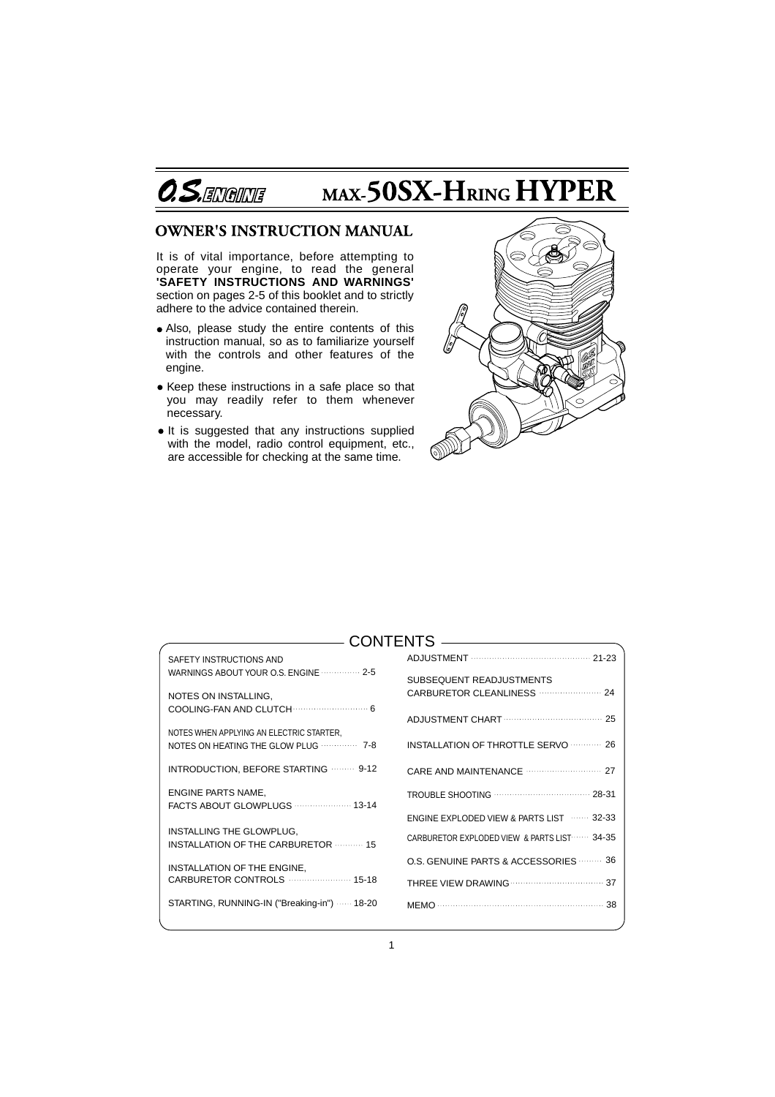

# MAX-50SX-HRING HYPER

# **OWNER'S INSTRUCTION MANUAL**

It is of vital importance, before attempting to operate your engine, to read the general **'SAFETY INSTRUCTIONS AND WARNINGS'**  section on pages 2-5 of this booklet and to strictly adhere to the advice contained therein.

- Also, please study the entire contents of this instruction manual, so as to familiarize yourself with the controls and other features of the engine.
- Keep these instructions in a safe place so that you may readily refer to them whenever necessary.
- It is suggested that any instructions supplied with the model, radio control equipment, etc., are accessible for checking at the same time.



# CONTENTS

| SAFETY INSTRUCTIONS AND                                                                |                                                  |
|----------------------------------------------------------------------------------------|--------------------------------------------------|
| WARNINGS ABOUT YOUR O.S. ENGINE <b>WARNINGS</b>                                        | SUBSEQUENT READJUSTMENTS                         |
| NOTES ON INSTALLING,                                                                   |                                                  |
|                                                                                        | ADJUSTMENT CHART                                 |
| NOTES WHEN APPLYING AN ELECTRIC STARTER,                                               |                                                  |
| NOTES ON HEATING THE GLOW PLUG <b>CONDUCT 2-8</b>                                      | INSTALLATION OF THROTTLE SERVO <b>26</b>         |
| INTRODUCTION, BEFORE STARTING <b>WEEDS</b> 2-12                                        |                                                  |
| ENGINE PARTS NAME,                                                                     | TROUBLE SHOOTING <b>WELL ASSESSED AT A 28-31</b> |
| FACTS ABOUT GLOWPLUGS  13-14                                                           |                                                  |
|                                                                                        | ENGINE EXPLODED VIEW & PARTS LIST  32-33         |
| INSTALLING THE GLOWPLUG,<br><b>INSTALLATION OF THE CARBURETOR <b>CONSTALLATION</b></b> | CARBURETOR EXPLODED VIEW & PARTS LIST 34-35      |
| INSTALLATION OF THE ENGINE,                                                            | O.S. GENUINE PARTS & ACCESSORIES  36             |
|                                                                                        |                                                  |
| STARTING, RUNNING-IN ("Breaking-in")  18-20                                            |                                                  |
|                                                                                        |                                                  |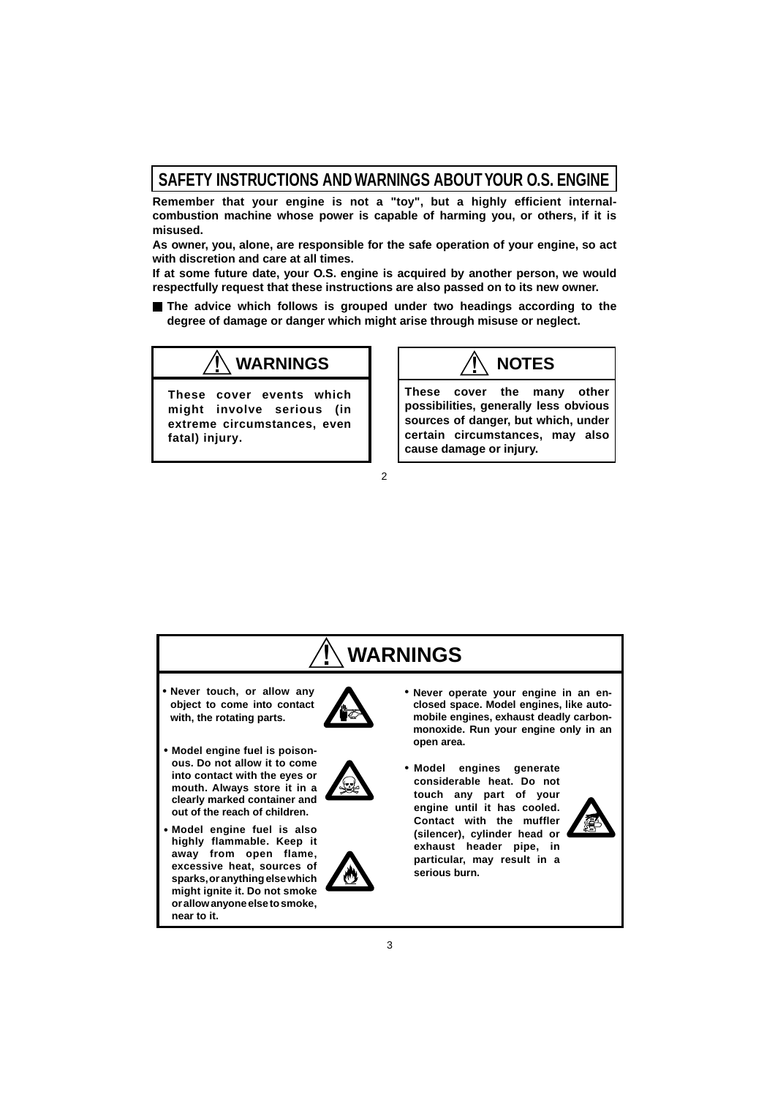# **SAFETY INSTRUCTIONS AND WARNINGS ABOUT YOUR O.S. ENGINE**

**Remember that your engine is not a "toy", but a highly efficient internalcombustion machine whose power is capable of harming you, or others, if it is misused.**

**As owner, you, alone, are responsible for the safe operation of your engine, so act with discretion and care at all times.**

**If at some future date, your O.S. engine is acquired by another person, we would respectfully request that these instructions are also passed on to its new owner.**

**The advice which follows is grouped under two headings according to the degree of damage or danger which might arise through misuse or neglect.**

2

# $\sqrt{}$  **WARNINGS**  $\sqrt{}$   $\sqrt{}$  **NOTES**

**These cover events which might involve serious (in extreme circumstances, even fatal) injury.**

**These cover the many other possibilities, generally less obvious sources of danger, but which, under certain circumstances, may also cause damage or injury.**

#### **!�WARNINGS** • Never touch, or allow any **A • Model engines generate • Model engine fuel is poison-• object to come into contact with, the rotating parts. ous. Do not allow it to come into contact with the eyes or mouth. Always store it in a clearly marked container and out of the reach of children. Model engine fuel is also highly flammable. Keep it away from open flame, excessive heat, sources of sparks, or anything else which might ignite it. Do not smoke or allow anyone else to smoke, near to it. considerable heat. Do not touch any part of your engine until it has cooled. Contact with the muffler (silencer), cylinder head or exhaust header pipe, in particular, may result in a serious burn. Never operate your engine in an enclosed space. Model engines, like automobile engines, exhaust deadly carbonmonoxide. Run your engine only in an open area.**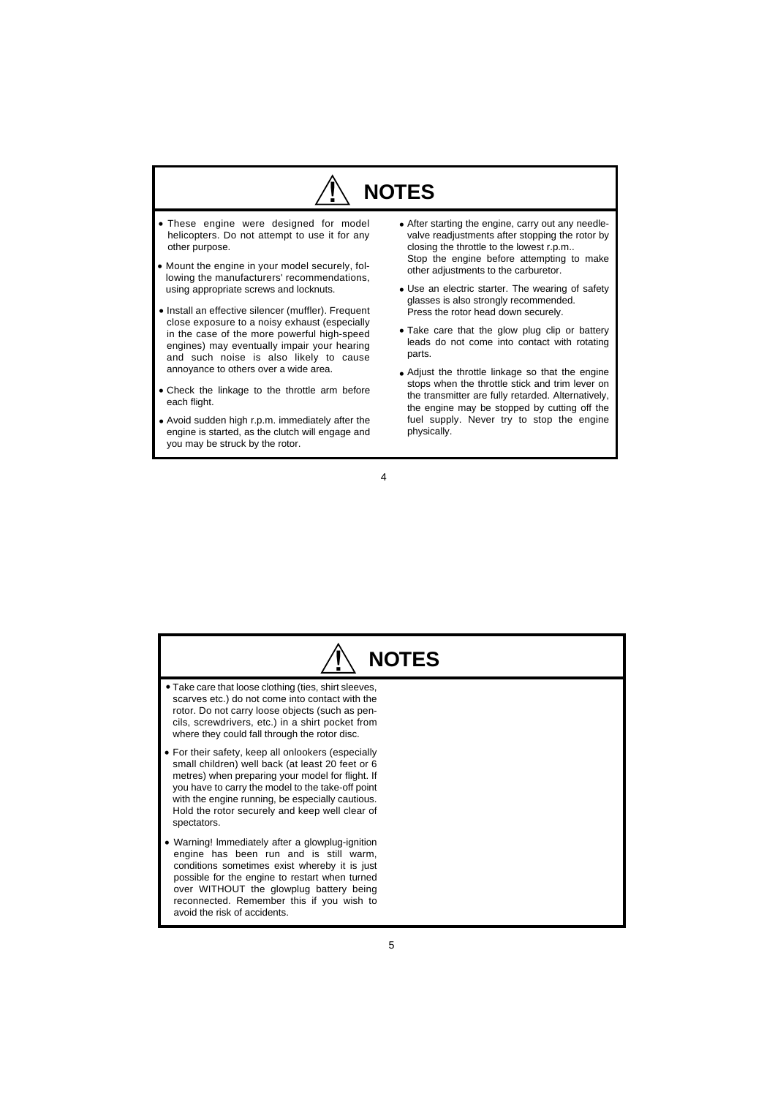# **!� NOTES**

- **•** These engine were designed for model helicopters. Do not attempt to use it for any other purpose.
- **•** Mount the engine in your model securely, following the manufacturers' recommendations, using appropriate screws and locknuts.
- **•** Install an effective silencer (muffler). Frequent close exposure to a noisy exhaust (especially in the case of the more powerful high-speed engines) may eventually impair your hearing and such noise is also likely to cause annoyance to others over a wide area.
- Check the linkage to the throttle arm before **•** each flight.
- Avoid sudden high r.p.m. immediately after the **•** engine is started, as the clutch will engage and you may be struck by the rotor.
- **•** After starting the engine, carry out any needlevalve readjustments after stopping the rotor by closing the throttle to the lowest r.p.m.. Stop the engine before attempting to make other adjustments to the carburetor.
- **•** Use an electric starter. The wearing of safety glasses is also strongly recommended. Press the rotor head down securely.
- Take care that the glow plug clip or battery **•** leads do not come into contact with rotating parts.
- Adjust the throttle linkage so that the engine **•** stops when the throttle stick and trim lever on the transmitter are fully retarded. Alternatively, the engine may be stopped by cutting off the fuel supply. Never try to stop the engine physically.

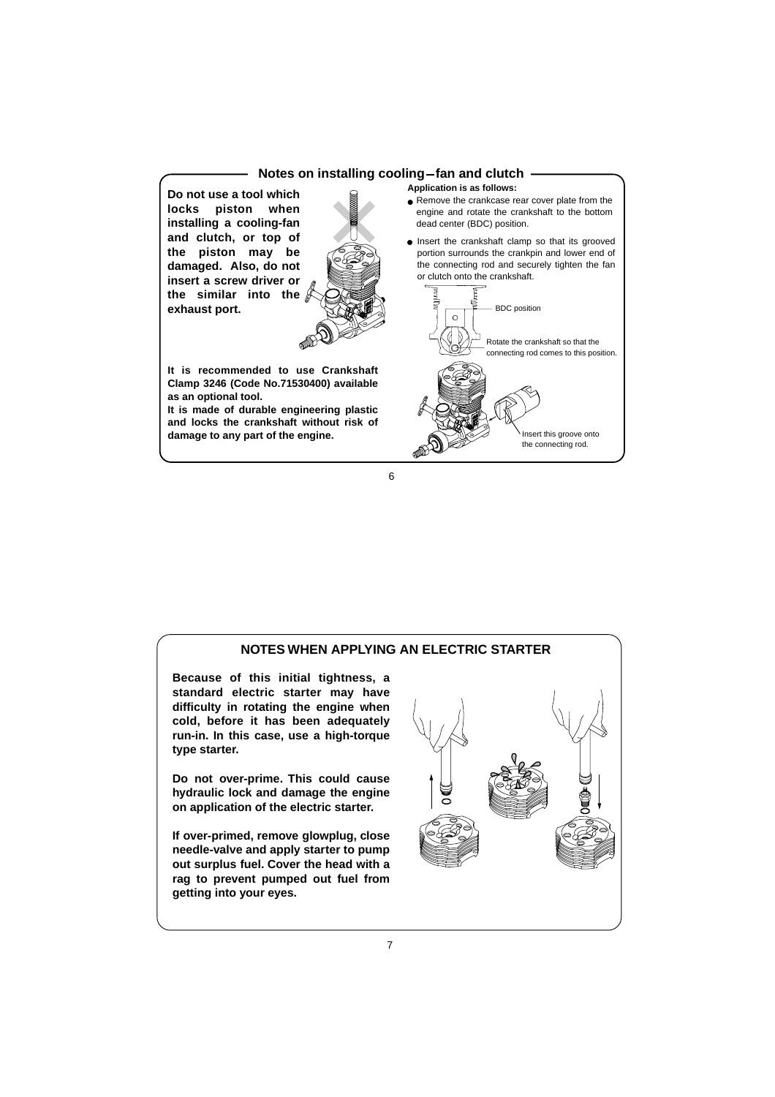### **Notes on installing cooling-fan and clutch Application is as follows:**

**Do not use a tool which locks piston when installing a cooling-fan and clutch, or top of the piston may be damaged. Also, do not insert a screw driver or the similar into the exhaust port.**



**It is recommended to use Crankshaft Clamp 3246 (Code No.71530400) available as an optional tool.** 

**It is made of durable engineering plastic and locks the crankshaft without risk of damage to any part of the engine.**

● Remove the crankcase rear cover plate from the engine and rotate the crankshaft to the bottom dead center (BDC) position.

**.** Insert the crankshaft clamp so that its grooved portion surrounds the crankpin and lower end of the connecting rod and securely tighten the fan or clutch onto the crankshaft.



6

# **NOTES WHEN APPLYING AN ELECTRIC STARTER Because of this initial tightness, a standard electric starter may have difficulty in rotating the engine when cold, before it has been adequately run-in. In this case, use a high-torque type starter. Do not over-prime. This could cause hydraulic lock and damage the engine on application of the electric starter. If over-primed, remove glowplug, close needle-valve and apply starter to pump out surplus fuel. Cover the head with a rag to prevent pumped out fuel from getting into your eyes.**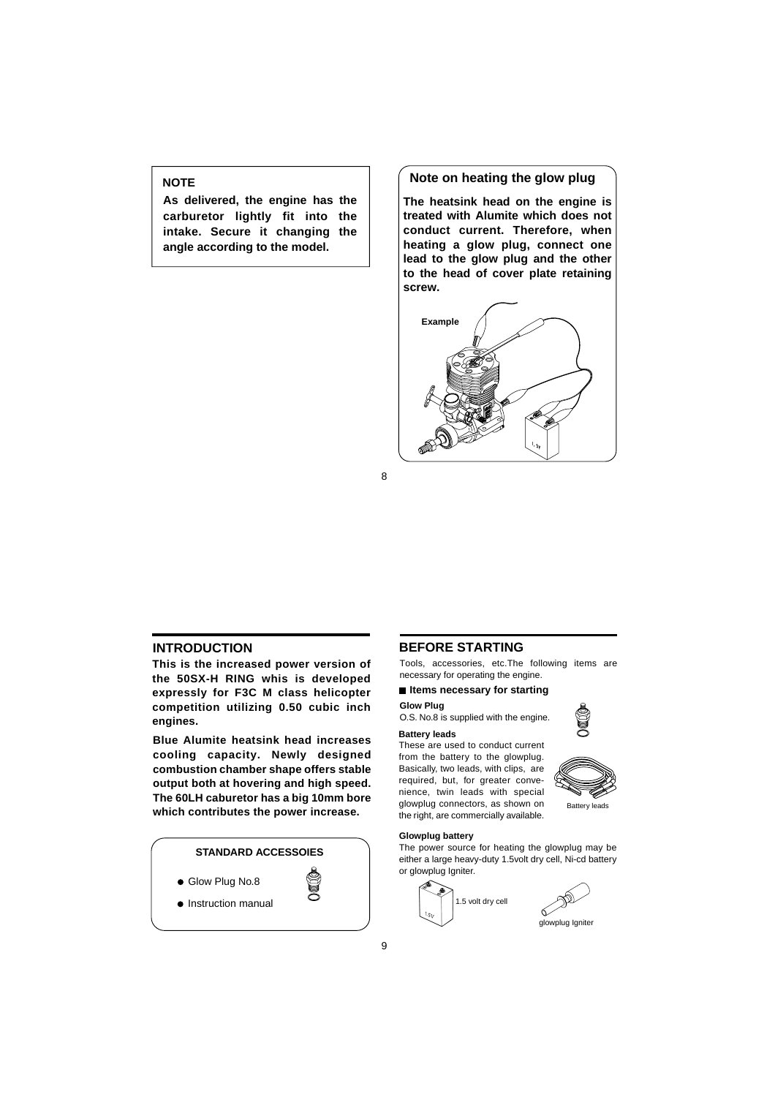# **NOTE**

**As delivered, the engine has the carburetor lightly fit into the intake. Secure it changing the angle according to the model.**

# **Note on heating the glow plug**

**The heatsink head on the engine is treated with Alumite which does not conduct current. Therefore, when heating a glow plug, connect one lead to the glow plug and the other to the head of cover plate retaining screw.**



8

# **INTRODUCTION**

**This is the increased power version of the 50SX-H RING whis is developed expressly for F3C M class helicopter competition utilizing 0.50 cubic inch engines.**

**Blue Alumite heatsink head increases cooling capacity. Newly designed combustion chamber shape offers stable output both at hovering and high speed. The 60LH caburetor has a big 10mm bore which contributes the power increase.**

### **STANDARD ACCESSOIES**

- Glow Plug No.8
- **•** Instruction manual

#### **BEFORE STARTING**

Tools, accessories, etc.The following items are necessary for operating the engine.

#### **If thems necessary for starting**

**Glow Plug** O.S. No.8 is supplied with the engine.

#### **Battery leads**

These are used to conduct current from the battery to the glowplug. Basically, two leads, with clips, are required, but, for greater convenience, twin leads with special glowplug connectors, as shown on the right, are commercially available.

#### **Glowplug battery**

The power source for heating the glowplug may be either a large heavy-duty 1.5volt dry cell, Ni-cd battery or glowplug Igniter.





Battery leads

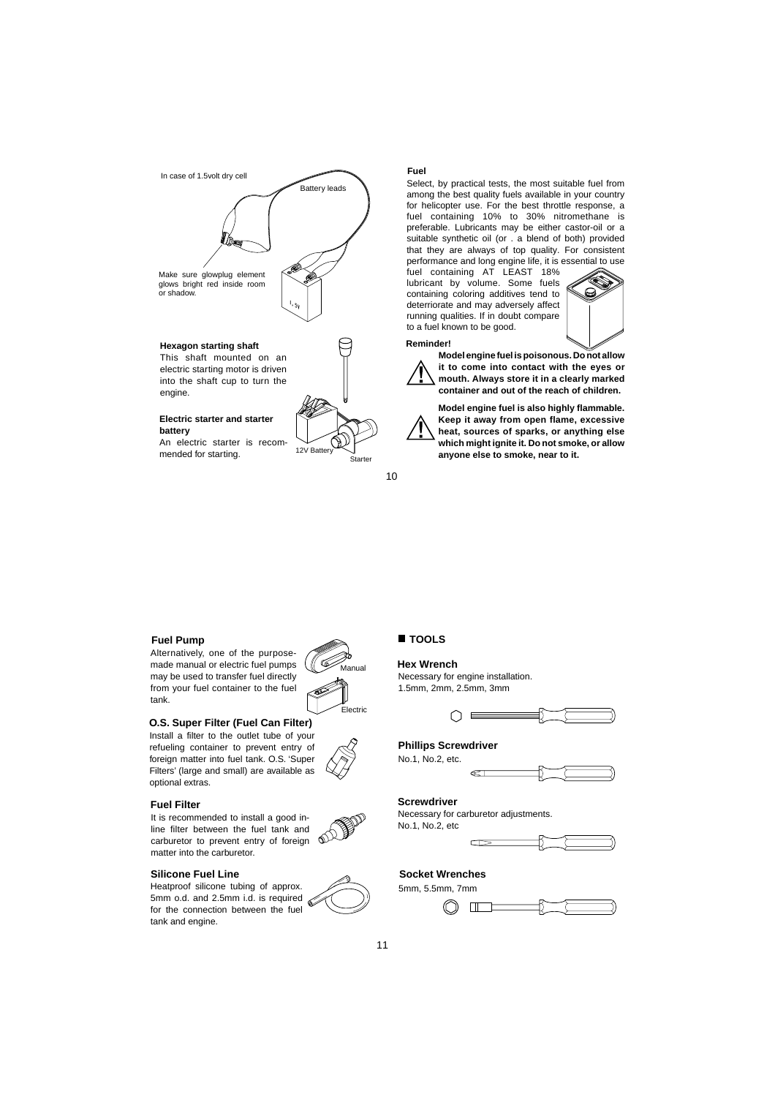

into the shaft cup to turn the engine.

#### **Electric starter and starter battery**

An electric starter is recommended for starting.



#### **Fuel**

Select, by practical tests, the most suitable fuel from among the best quality fuels available in your country for helicopter use. For the best throttle response, a fuel containing 10% to 30% nitromethane is preferable. Lubricants may be either castor-oil or a suitable synthetic oil (or . a blend of both) provided that they are always of top quality. For consistent performance and long engine life, it is essential to use

fuel containing AT LEAST 18% lubricant by volume. Some fuels containing coloring additives tend to deterriorate and may adversely affect running qualities. If in doubt compare to a fuel known to be good.



#### **Reminder!**



**Model engine fuel is poisonous. Do not allow it to come into contact with the eyes or mouth. Always store it in a clearly marked container and out of the reach of children.**

**Model engine fuel is also highly flammable. Keep it away from open flame, excessive heat, sources of sparks, or anything else which might ignite it. Do not smoke, or allow anyone else to smoke, near to it.**

10

#### **Fuel Pump**

Alternatively, one of the purposemade manual or electric fuel pumps may be used to transfer fuel directly from your fuel container to the fuel tank.



#### **O.S. Super Filter (Fuel Can Filter)**

Install a filter to the outlet tube of your refueling container to prevent entry of foreign matter into fuel tank. O.S. 'Super Filters' (large and small) are available as optional extras.

#### **Fuel Filter**

It is recommended to install a good inline filter between the fuel tank and ക് carburetor to prevent entry of foreign matter into the carburetor.

#### **Silicone Fuel Line**

Heatproof silicone tubing of approx. 5mm o.d. and 2.5mm i.d. is required for the connection between the fuel tank and engine.



#### **Hex Wrench**

Necessary for engine installation. 1.5mm, 2mm, 2.5mm, 3mm



#### **Phillips Screwdriver**

No.1, No.2, etc.

**Screwdriver**

Necessary for carburetor adjustments. No.1, No.2, etc

@



# **Socket Wrenches**

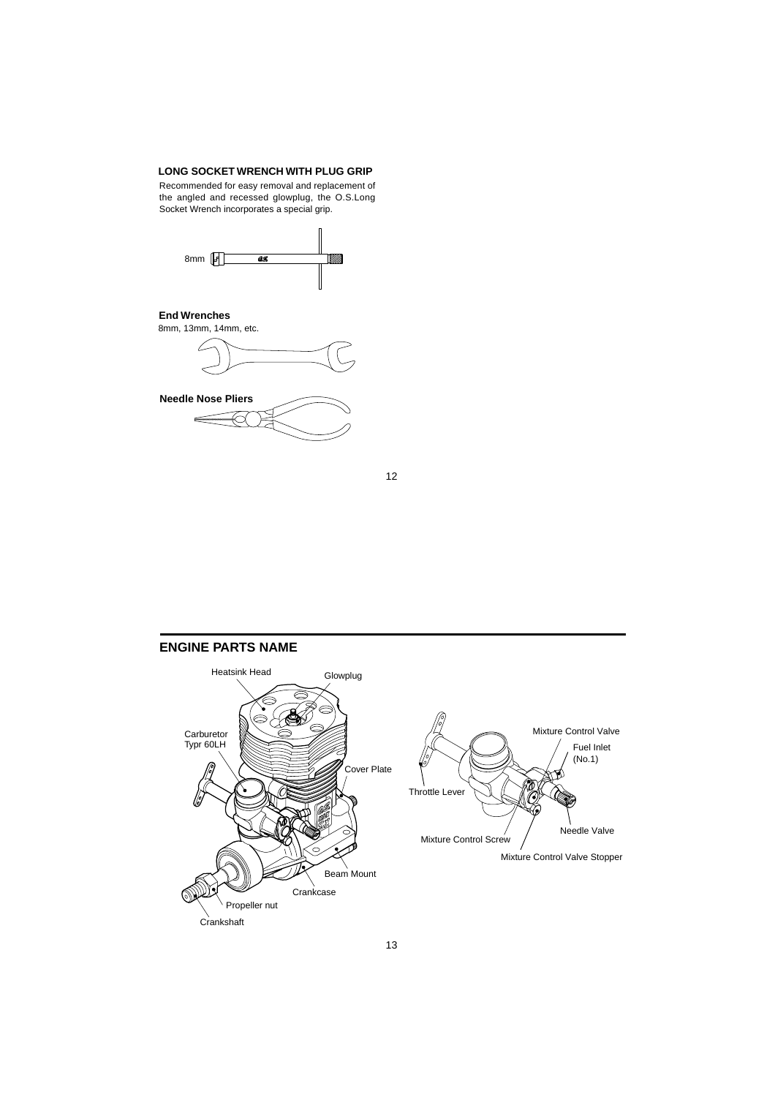### **LONG SOCKET WRENCH WITH PLUG GRIP**

Recommended for easy removal and replacement of the angled and recessed glowplug, the O.S.Long Socket Wrench incorporates a special grip.



# **End Wrenches**

8mm, 13mm, 14mm, etc.





# **ENGINE PARTS NAME**

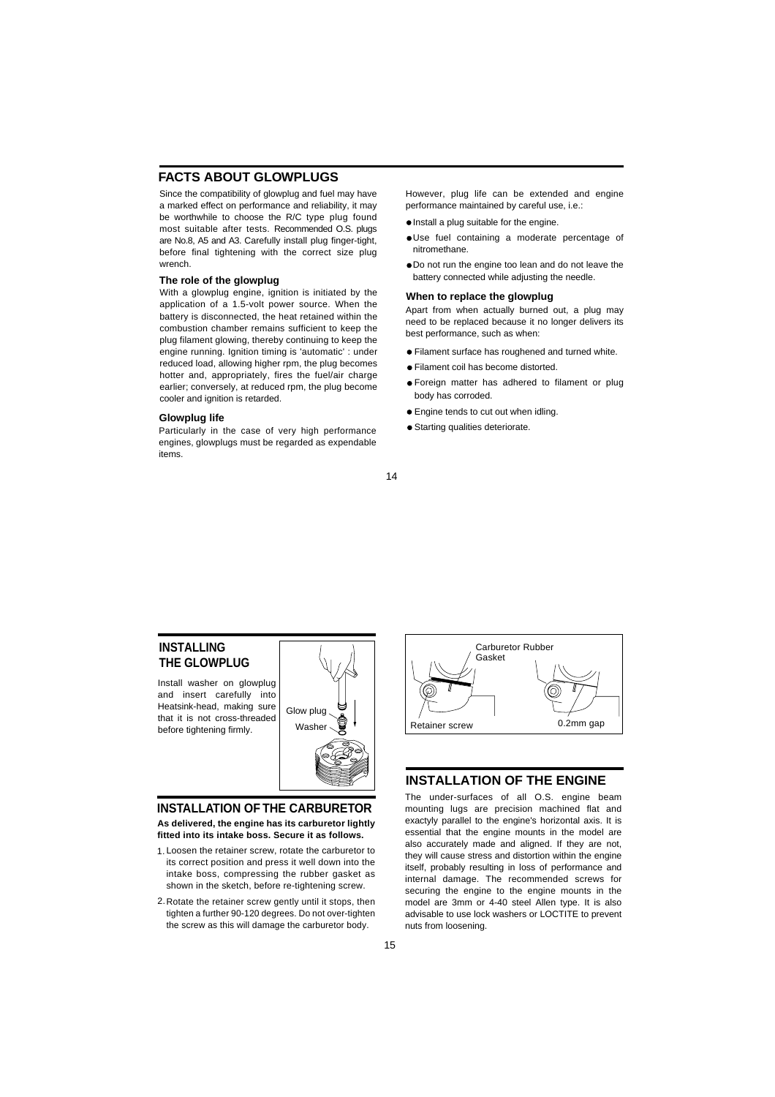# **FACTS ABOUT GLOWPLUGS**

Since the compatibility of glowplug and fuel may have a marked effect on performance and reliability, it may be worthwhile to choose the R/C type plug found most suitable after tests. Recommended O.S. plugs are No.8, A5 and A3. Carefully install plug finger-tight, before final tightening with the correct size plug wrench.

#### **The role of the glowplug**

With a glowplug engine, ignition is initiated by the application of a 1.5-volt power source. When the battery is disconnected, the heat retained within the combustion chamber remains sufficient to keep the plug filament glowing, thereby continuing to keep the engine running. Ignition timing is 'automatic' : under reduced load, allowing higher rpm, the plug becomes hotter and, appropriately, fires the fuel/air charge earlier; conversely, at reduced rpm, the plug become cooler and ignition is retarded.

#### **Glowplug life**

Particularly in the case of very high performance engines, glowplugs must be regarded as expendable items.

However, plug life can be extended and engine performance maintained by careful use, i.e.:

- $\bullet$  Install a plug suitable for the engine.
- Use fuel containing a moderate percentage of nitromethane.
- Do not run the engine too lean and do not leave the battery connected while adjusting the needle.

# **When to replace the glowplug**

Apart from when actually burned out, a plug may need to be replaced because it no longer delivers its best performance, such as when:

- Filament surface has roughened and turned white.
- Filament coil has become distorted.
- Foreign matter has adhered to filament or plug body has corroded.
- Engine tends to cut out when idling.
- Starting qualities deteriorate.

#### 14

# **INSTALLING THE GLOWPLUG**

Install washer on glowplug and insert carefully into Heatsink-head, making sure that it is not cross-threaded before tightening firmly.



#### **INSTALLATION OF THE CARBURETOR**

**As delivered, the engine has its carburetor lightly fitted into its intake boss. Secure it as follows.**

- Loosen the retainer screw, rotate the carburetor to 1. its correct position and press it well down into the intake boss, compressing the rubber gasket as shown in the sketch, before re-tightening screw.
- 2. Rotate the retainer screw gently until it stops, then tighten a further 90-120 degrees. Do not over-tighten the screw as this will damage the carburetor body.



# **INSTALLATION OF THE ENGINE**

The under-surfaces of all O.S. engine beam mounting lugs are precision machined flat and exactyly parallel to the engine's horizontal axis. It is essential that the engine mounts in the model are also accurately made and aligned. If they are not, they will cause stress and distortion within the engine itself, probably resulting in loss of performance and internal damage. The recommended screws for securing the engine to the engine mounts in the model are 3mm or 4-40 steel Allen type. It is also advisable to use lock washers or LOCTITE to prevent nuts from loosening.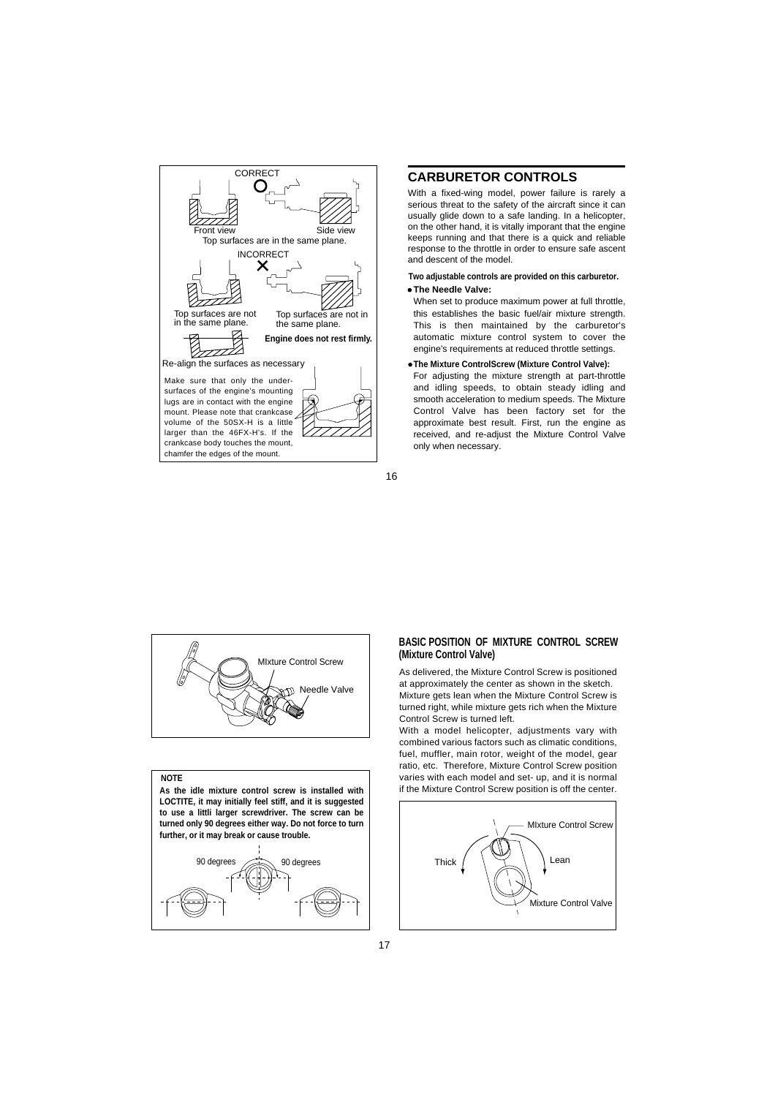

### **CARBURETOR CONTROLS**

With a fixed-wing model, power failure is rarely a serious threat to the safety of the aircraft since it can usually glide down to a safe landing. In a helicopter, on the other hand, it is vitally imporant that the engine keeps running and that there is a quick and reliable response to the throttle in order to ensure safe ascent and descent of the model.

#### **The Needle Valve: Two adjustable controls are provided on this carburetor.**

When set to produce maximum power at full throttle, this establishes the basic fuel/air mixture strength. This is then maintained by the carburetor's automatic mixture control system to cover the engine's requirements at reduced throttle settings.

**The Mixture ControlScrew (Mixture Control Valve):**

For adjusting the mixture strength at part-throttle and idling speeds, to obtain steady idling and smooth acceleration to medium speeds. The Mixture Control Valve has been factory set for the approximate best result. First, run the engine as received, and re-adjust the Mixture Control Valve only when necessary.





#### **NOTE**

**LOCTITE, it may initially feel stiff, and it is suggested to use a littli larger screwdriver. The screw can be turned only 90 degrees either way. Do not force to turn further, or it may break or cause trouble.**



#### **BASIC POSITION OF MIXTURE CONTROL SCREW (Mixture Control Valve)**

As delivered, the Mixture Control Screw is positioned at approximately the center as shown in the sketch. Mixture gets lean when the Mixture Control Screw is turned right, while mixture gets rich when the Mixture Control Screw is turned left.

With a model helicopter, adjustments vary with combined various factors such as climatic conditions, fuel, muffler, main rotor, weight of the model, gear ratio, etc. Therefore, Mixture Control Screw position varies with each model and set- up, and it is normal **As the idle mixture control screw is installed with** if the Mixture Control Screw position is off the center.

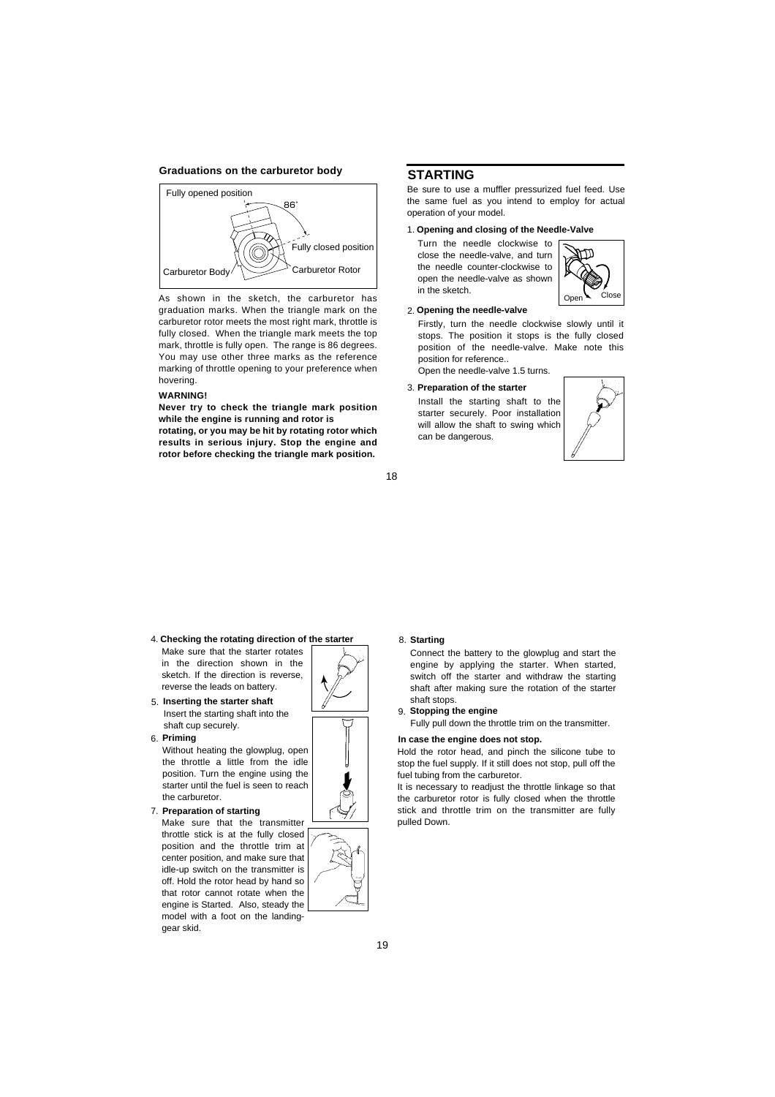#### **Graduations on the carburetor body**



As shown in the sketch, the carburetor has graduation marks. When the triangle mark on the carburetor rotor meets the most right mark, throttle is fully closed. When the triangle mark meets the top mark, throttle is fully open. The range is 86 degrees. You may use other three marks as the reference marking of throttle opening to your preference when hovering.

#### **WARNING!**

**Never try to check the triangle mark position while the engine is running and rotor is**

**rotating, or you may be hit by rotating rotor which results in serious injury. Stop the engine and rotor before checking the triangle mark position.**

#### **STARTING**

in the sketch.

Be sure to use a muffler pressurized fuel feed. Use the same fuel as you intend to employ for actual operation of your model.

#### 1. **Opening and closing of the Needle-Valve**

Turn the needle clockwise to m close the needle-valve, and turn the needle counter-clockwise to open the needle-valve as shown



Firstly, turn the needle clockwise slowly until it stops. The position it stops is the fully closed position of the needle-valve. Make note this position for reference.. Open the needle-valve 1.5 turns.

3. **Preparation of the starter**

Install the starting shaft to the starter securely. Poor installation will allow the shaft to swing which can be dangerous.



Open Close

- 4. **Checking the rotating direction of the starter** Make sure that the starter rotates
- in the direction shown in the sketch. If the direction is reverse, reverse the leads on battery.
- 5. **Inserting the starter shaft** Insert the starting shaft into the shaft cup securely.
- 6. **Priming**

Without heating the glowplug, open the throttle a little from the idle position. Turn the engine using the starter until the fuel is seen to reach the carburetor.

**Preparation of starting** 7.

Make sure that the transmitter throttle stick is at the fully closed position and the throttle trim at center position, and make sure that idle-up switch on the transmitter is off. Hold the rotor head by hand so that rotor cannot rotate when the engine is Started. Also, steady the model with a foot on the landinggear skid.



**Starting** 8.

18

Connect the battery to the glowplug and start the engine by applying the starter. When started, switch off the starter and withdraw the starting shaft after making sure the rotation of the starter shaft stops.

**Stopping the engine** 9.

Fully pull down the throttle trim on the transmitter.

#### **In case the engine does not stop.**

Hold the rotor head, and pinch the silicone tube to stop the fuel supply. If it still does not stop, pull off the fuel tubing from the carburetor.

It is necessary to readjust the throttle linkage so that the carburetor rotor is fully closed when the throttle stick and throttle trim on the transmitter are fully pulled Down.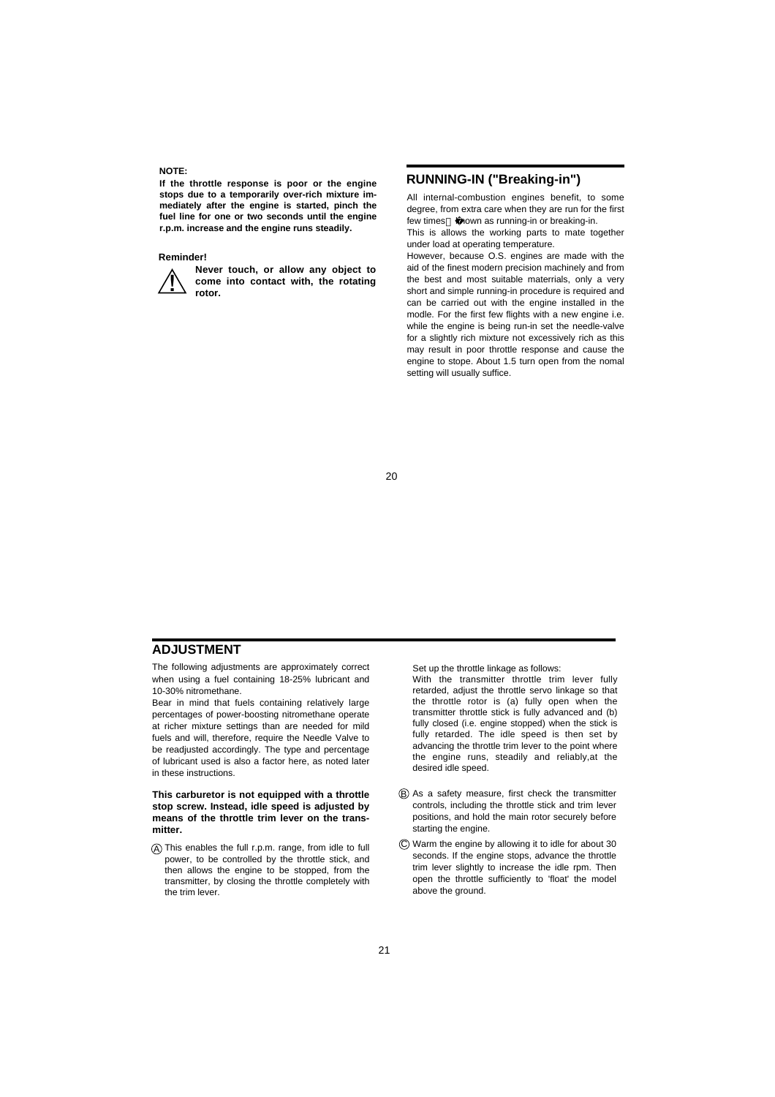#### **NOTE:**

**If the throttle response is poor or the engine stops due to a temporarily over-rich mixture immediately after the engine is started, pinch the fuel line for one or two seconds until the engine r.p.m. increase and the engine runs steadily.** 

#### **Reminder!**

**Never touch, or allow any object to come into contact with, the rotating rotor. !�**

#### **RUNNING-IN ("Breaking-in")**

All internal-combustion engines benefit, to some degree, from extra care when they are run for the first few times known as running-in or breaking-in. This is allows the working parts to mate together

under load at operating temperature.

However, because O.S. engines are made with the aid of the finest modern precision machinely and from the best and most suitable materrials, only a very short and simple running-in procedure is required and can be carried out with the engine installed in the modle. For the first few flights with a new engine i.e. while the engine is being run-in set the needle-valve for a slightly rich mixture not excessively rich as this may result in poor throttle response and cause the engine to stope. About 1.5 turn open from the nomal setting will usually suffice.

 $20$ 

#### **ADJUSTMENT**

The following adjustments are approximately correct when using a fuel containing 18-25% lubricant and 10-30% nitromethane.

Bear in mind that fuels containing relatively large percentages of power-boosting nitromethane operate at richer mixture settings than are needed for mild fuels and will, therefore, require the Needle Valve to be readjusted accordingly. The type and percentage of lubricant used is also a factor here, as noted later in these instructions.

**This carburetor is not equipped with a throttle stop screw. Instead, idle speed is adjusted by means of the throttle trim lever on the transmitter.**

A This enables the full r.p.m. range, from idle to full power, to be controlled by the throttle stick, and then allows the engine to be stopped, from the transmitter, by closing the throttle completely with the trim lever.

Set up the throttle linkage as follows:

With the transmitter throttle trim lever fully retarded, adjust the throttle servo linkage so that the throttle rotor is (a) fully open when the transmitter throttle stick is fully advanced and (b) fully closed (i.e. engine stopped) when the stick is fully retarded. The idle speed is then set by advancing the throttle trim lever to the point where the engine runs, steadily and reliably,at the desired idle speed.

- As a safety measure, first check the transmitter B controls, including the throttle stick and trim lever positions, and hold the main rotor securely before starting the engine.
- Warm the engine by allowing it to idle for about 30 C seconds. If the engine stops, advance the throttle trim lever slightly to increase the idle rpm. Then open the throttle sufficiently to 'float' the model above the ground.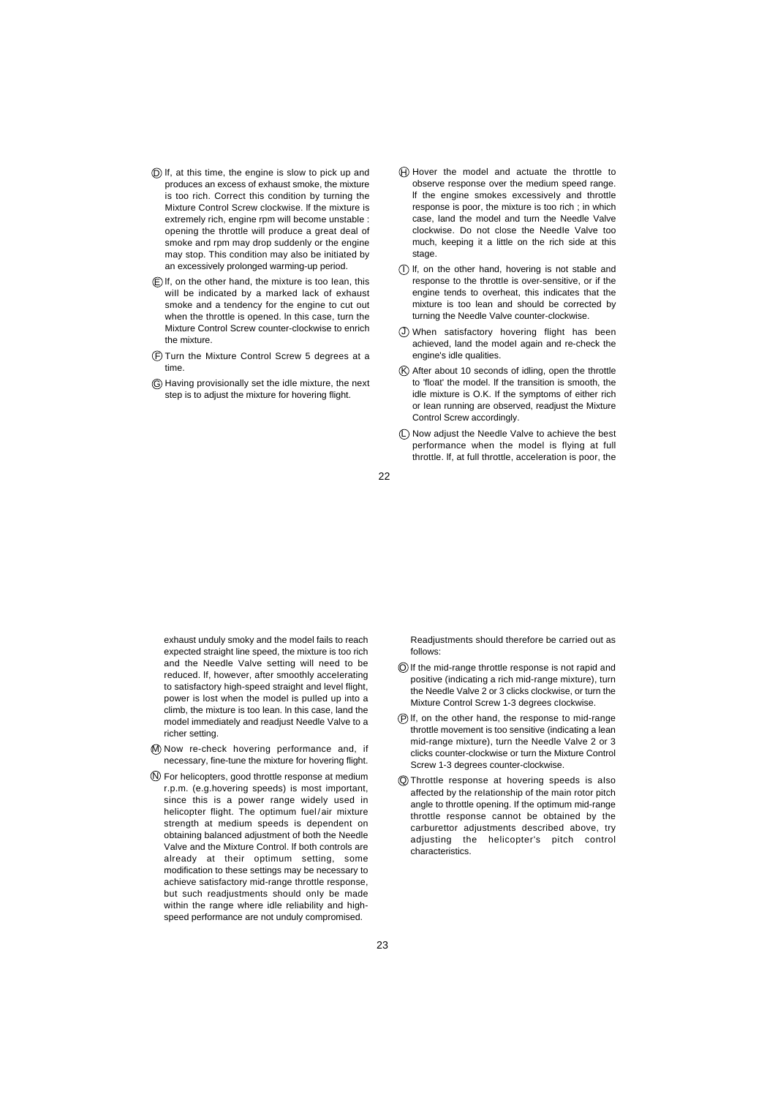- $\widehat{\mathsf{D}}$  If, at this time, the engine is slow to pick up and produces an excess of exhaust smoke, the mixture is too rich. Correct this condition by turning the Mixture Control Screw clockwise. lf the mixture is extremely rich, engine rpm will become unstable : opening the throttle will produce a great deal of smoke and rpm may drop suddenly or the engine may stop. This condition may also be initiated by an excessively prolonged warming-up period.
- $E$ ) If, on the other hand, the mixture is too lean, this will be indicated by a marked lack of exhaust smoke and a tendency for the engine to cut out when the throttle is opened. ln this case, turn the Mixture Control Screw counter-clockwise to enrich the mixture.
- F) Turn the Mixture Control Screw 5 degrees at a time.
- Having provisionally set the idle mixture, the next G step is to adjust the mixture for hovering flight.
- $\Theta$  Hover the model and actuate the throttle to observe response over the medium speed range. lf the engine smokes excessiveIy and throttle response is poor, the mixture is too rich ; in which case, land the model and turn the Needle Valve clockwise. Do not close the NeedIe Valve too much, keeping it a little on the rich side at this stage
- $\overline{I}$ ) If, on the other hand, hovering is not stable and response to the throttIe is over-sensitive, or if the engine tends to overheat, this indicates that the mixture is too lean and should be corrected by turning the Needle Valve counter-clockwise.
- When satisfactory hovering flight has been J achieved, land the modeI again and re-check the engine's idle qualities.
- K) After about 10 seconds of idling, open the throttle to 'float' the model. lf the transition is smooth, the idle mixture is O.K. If the symptoms of either rich or Iean running are observed, readjust the Mixture Control Screw accordingly.
- $\square$  Now adjust the Needle Valve to achieve the best performance when the model is flying at full throttle. lf, at full throttle, acceleration is poor, the

22

exhaust unduly smoky and the model fails to reach expected straight line speed, the mixture is too rich and the Needle Valve setting will need to be reduced. If, however, after smoothly accelerating to satisfactory high-speed straight and level flight, power is lost when the model is puIled up into a climb, the mixture is too lean. ln this case, land the model immediately and readjust Needle Valve to a richer setting.

- M) Now re-check hovering performance and, if necessary, fine-tune the mixture for hovering flight.
- For helicopters, good throttle response at medium N r.p.m. (e.g.hovering speeds) is most important, since this is a power range widely used in helicopter flight. The optimum fuel/air mixture strength at medium speeds is dependent on obtaining balanced adjustment of both the Needle Valve and the Mixture Control. lf both controls are already at their optimum setting, some modification to these settings may be necessary to achieve satisfactory mid-range throttle response, but such readjustments should onIy be made within the range where idle reliability and highspeed performance are not unduly compromised.

Readjustments should therefore be carried out as follows:

- O lf the mid-range throttle response is not rapid and positive (indicating a rich mid-range mixture), turn the Needle Valve 2 or 3 clicks clockwise, or turn the Mixture Control Screw 1-3 degrees cIockwise.
- P) If, on the other hand, the response to mid-range throttle movement is too sensitive (indicating a lean mid-range mixture), turn the Needle Valve 2 or 3 clicks counter-clockwise or turn the Mixture Control Screw 1-3 degrees counter-clockwise.
- Throttle response at hovering speeds is aIso Q affected by the reIationship of the main rotor pitch angle to throttle opening. If the optimum mid-range throttle response cannot be obtained by the carburettor adjustments described above, try adjusting the helicopter's pitch control characteristics.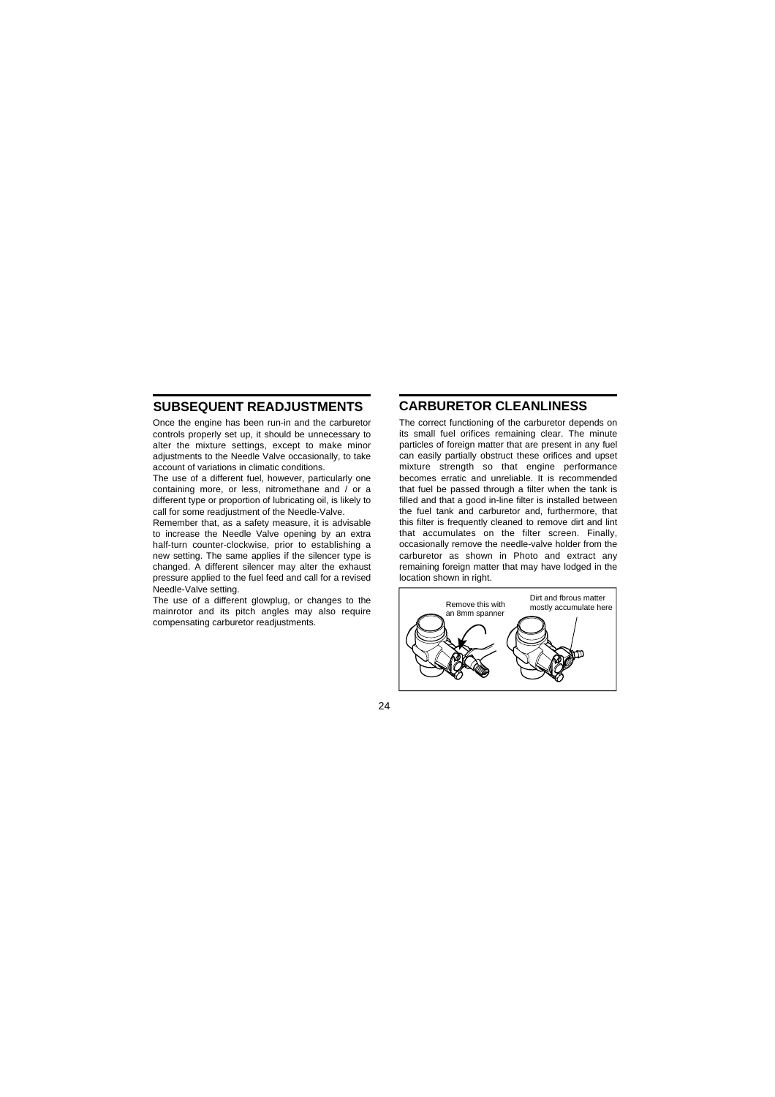# **SUBSEQUENT READJUSTMENTS**

Once the engine has been run-in and the carburetor controls properly set up, it should be unnecessary to alter the mixture settings, except to make minor adjustments to the Needle Valve occasionally, to take account of variations in climatic conditions.

The use of a different fuel, however, particularly one containing more, or less, nitromethane and / or a different type or proportion of lubricating oil, is likely to call for some readjustment of the Needle-Valve.

Remember that, as a safety measure, it is advisable to increase the Needle Valve opening by an extra half-turn counter-clockwise, prior to establishing a new setting. The same applies if the silencer type is changed. A different silencer may alter the exhaust pressure applied to the fuel feed and call for a revised Needle-Valve setting.

The use of a different glowplug, or changes to the mainrotor and its pitch angles may also require compensating carburetor readjustments.

#### **CARBURETOR CLEANLINESS**

The correct functioning of the carburetor depends on its small fuel orifices remaining clear. The minute particles of foreign matter that are present in any fuel can easily partially obstruct these orifices and upset mixture strength so that engine performance becomes erratic and unreliable. It is recommended that fuel be passed through a filter when the tank is filled and that a good in-line filter is installed between the fuel tank and carburetor and, furthermore, that this filter is frequently cleaned to remove dirt and lint that accumulates on the filter screen. Finally, occasionally remove the needle-valve holder from the carburetor as shown in Photo and extract any remaining foreign matter that may have lodged in the location shown in right.

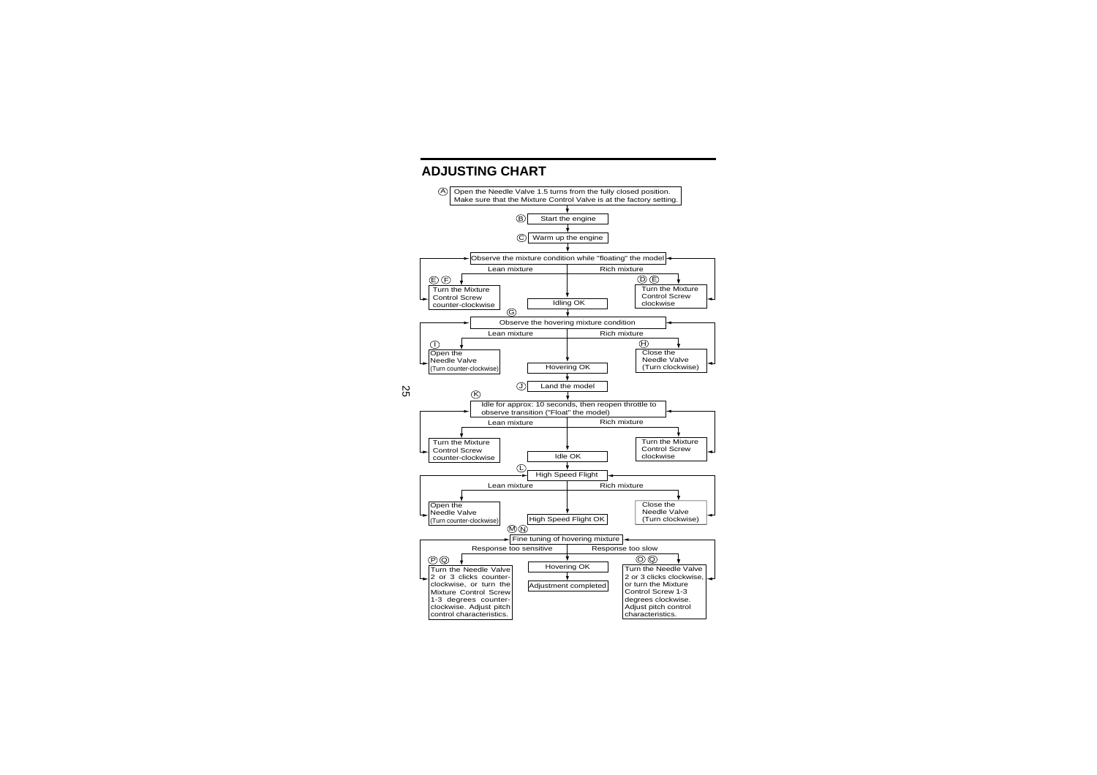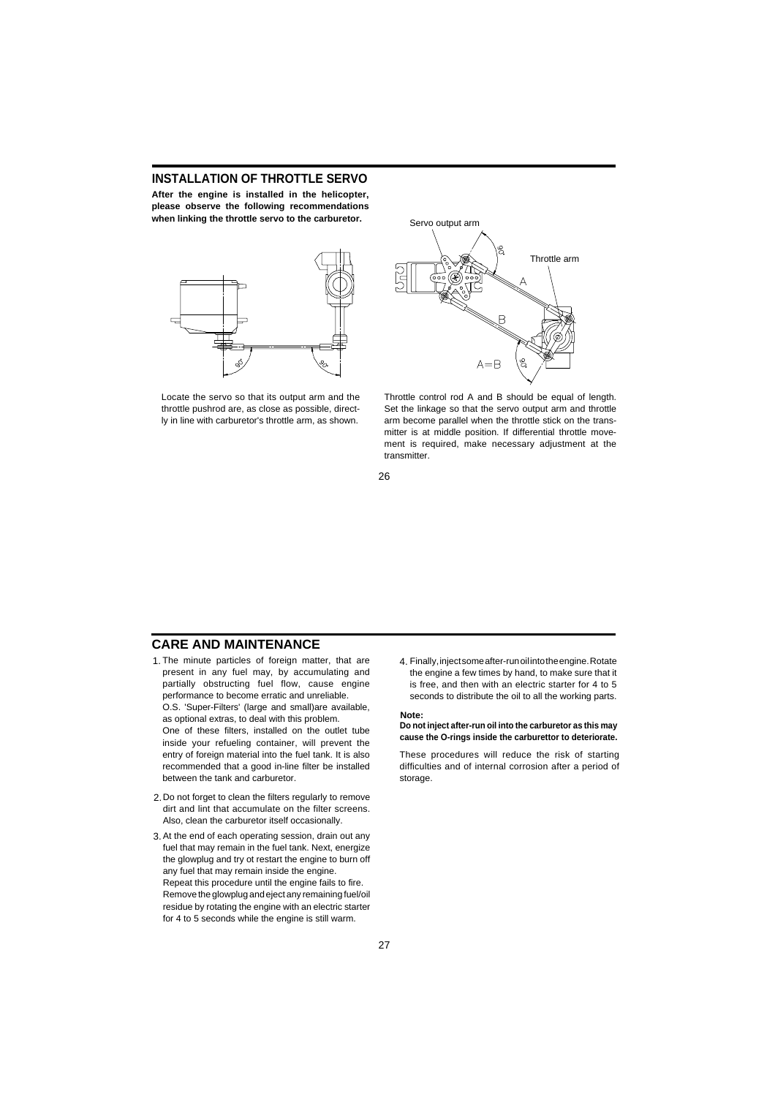# **INSTALLATION OF THROTTLE SERVO**

**After the engine is installed in the helicopter, please observe the following recommendations when linking the throttle servo to the carburetor.**



Locate the servo so that its output arm and the throttle pushrod are, as close as possible, directly in line with carburetor's throttle arm, as shown.



Throttle control rod A and B should be equal of length. Set the linkage so that the servo output arm and throttle arm become parallel when the throttle stick on the transmitter is at middle position. If differential throttle movement is required, make necessary adjustment at the transmitter.

26

#### **CARE AND MAINTENANCE**

- 1. The minute particles of foreign matter, that are present in any fuel may, by accumulating and partially obstructing fuel flow, cause engine performance to become erratic and unreliable. O.S. 'Super-Filters' (large and small)are available, as optional extras, to deal with this problem. One of these filters, installed on the outlet tube inside your refueling container, will prevent the entry of foreign material into the fuel tank. It is also recommended that a good in-line filter be installed between the tank and carburetor.
- 2. Do not forget to clean the filters regularly to remove dirt and lint that accumulate on the filter screens. Also, clean the carburetor itself occasionally.
- 3. At the end of each operating session, drain out any fuel that may remain in the fuel tank. Next, energize the glowplug and try ot restart the engine to burn off any fuel that may remain inside the engine. Repeat this procedure until the engine fails to fire. Remove the glowplug and eject any remaining fuel/oil residue by rotating the engine with an electric starter for 4 to 5 seconds while the engine is still warm.

1. The minute particles of foreign matter, that are 4. Finally, inject some after-run oil into the engine. Rotate the engine a few times by hand, to make sure that it is free, and then with an electric starter for 4 to 5 seconds to distribute the oil to all the working parts.

#### **Note:**

**Do not inject after-run oil into the carburetor as this may cause the O-rings inside the carburettor to deteriorate.**

These procedures will reduce the risk of starting difficulties and of internal corrosion after a period of storage.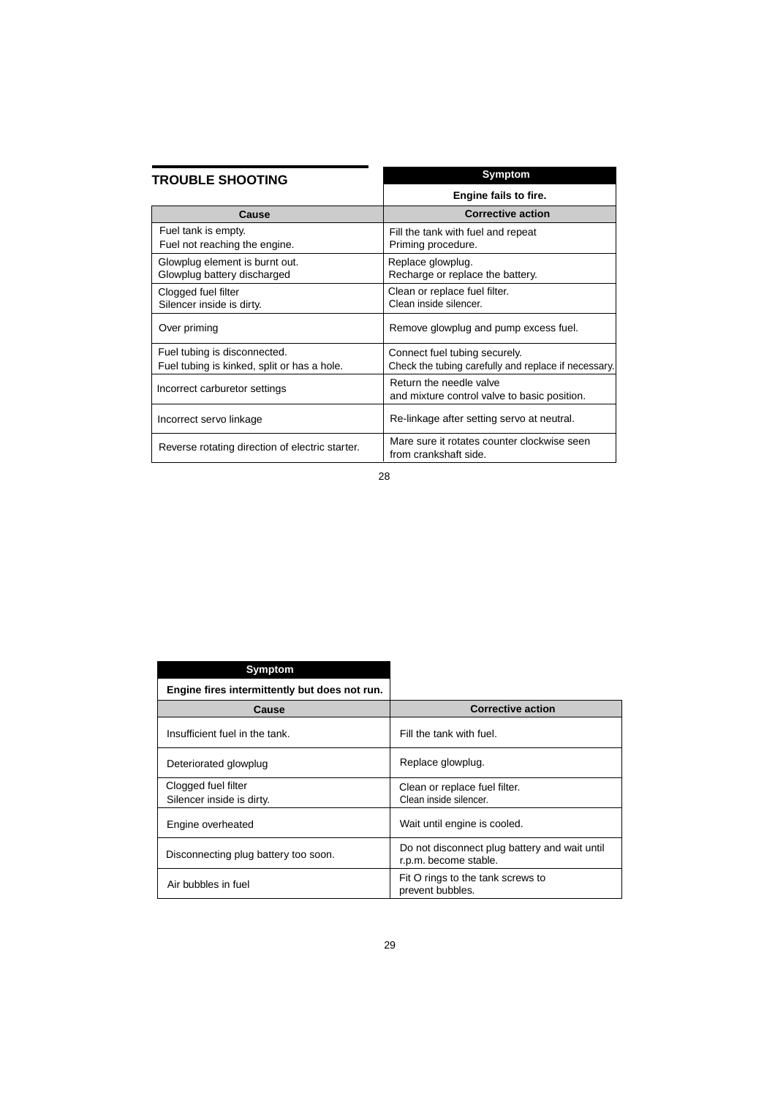| <b>TROUBLE SHOOTING</b>                                                     | Symptom                                                                               |  |
|-----------------------------------------------------------------------------|---------------------------------------------------------------------------------------|--|
|                                                                             | Engine fails to fire.                                                                 |  |
| Cause                                                                       | <b>Corrective action</b>                                                              |  |
| Fuel tank is empty.<br>Fuel not reaching the engine.                        | Fill the tank with fuel and repeat<br>Priming procedure.                              |  |
| Glowplug element is burnt out.<br>Glowplug battery discharged               | Replace glowplug.<br>Recharge or replace the battery.                                 |  |
| Clogged fuel filter<br>Silencer inside is dirty.                            | Clean or replace fuel filter.<br>Clean inside silencer.                               |  |
| Over priming                                                                | Remove glowplug and pump excess fuel.                                                 |  |
| Fuel tubing is disconnected.<br>Fuel tubing is kinked, split or has a hole. | Connect fuel tubing securely.<br>Check the tubing carefully and replace if necessary. |  |
| Incorrect carburetor settings                                               | Return the needle valve<br>and mixture control valve to basic position.               |  |
| Incorrect servo linkage                                                     | Re-linkage after setting servo at neutral.                                            |  |
| Reverse rotating direction of electric starter.                             | Mare sure it rotates counter clockwise seen<br>from crankshaft side.                  |  |

| <b>Symptom</b>                                   |                                                                        |
|--------------------------------------------------|------------------------------------------------------------------------|
| Engine fires intermittently but does not run.    |                                                                        |
| Cause                                            | <b>Corrective action</b>                                               |
| Insufficient fuel in the tank.                   | Fill the tank with fuel.                                               |
| Deteriorated glowplug                            | Replace glowplug.                                                      |
| Clogged fuel filter<br>Silencer inside is dirty. | Clean or replace fuel filter.<br>Clean inside silencer.                |
| Engine overheated                                | Wait until engine is cooled.                                           |
| Disconnecting plug battery too soon.             | Do not disconnect plug battery and wait until<br>r.p.m. become stable. |
| Air bubbles in fuel                              | Fit O rings to the tank screws to<br>prevent bubbles.                  |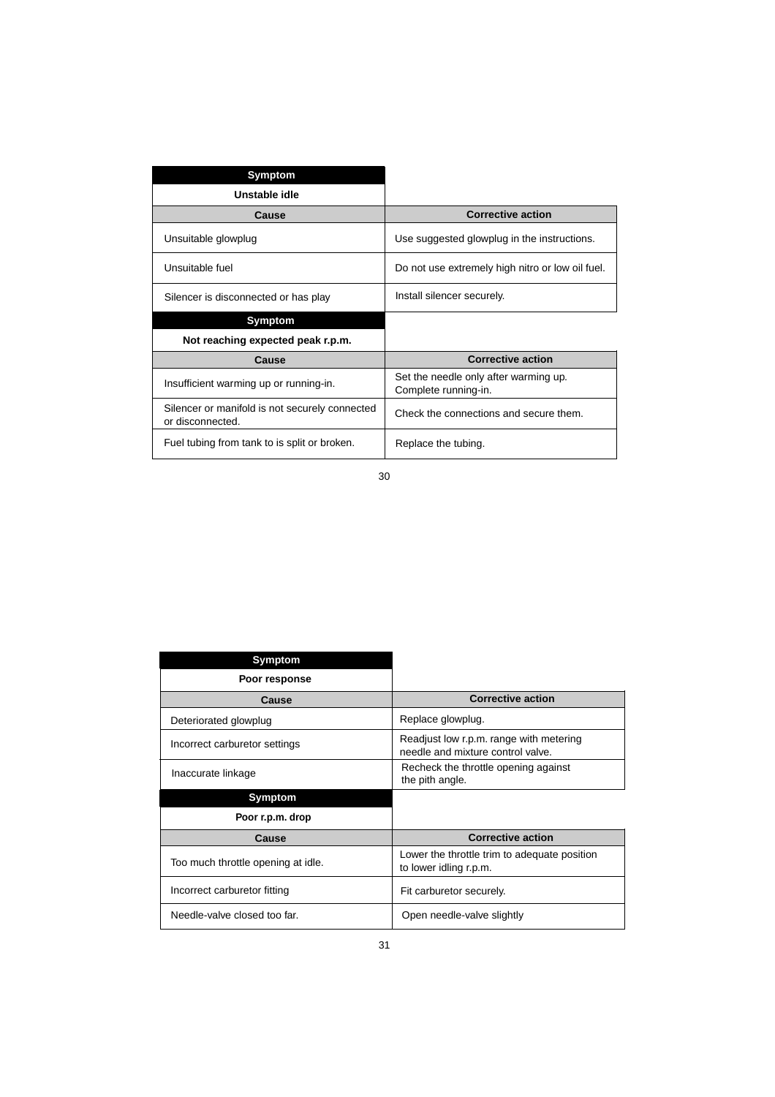| <b>Symptom</b>                                                     |                                                               |
|--------------------------------------------------------------------|---------------------------------------------------------------|
| Unstable idle                                                      |                                                               |
| Cause                                                              | <b>Corrective action</b>                                      |
| Unsuitable glowplug                                                | Use suggested glowplug in the instructions.                   |
| Unsuitable fuel                                                    | Do not use extremely high nitro or low oil fuel.              |
| Silencer is disconnected or has play                               | Install silencer securely.                                    |
| Symptom                                                            |                                                               |
| Not reaching expected peak r.p.m.                                  |                                                               |
| Cause                                                              | <b>Corrective action</b>                                      |
| Insufficient warming up or running-in.                             | Set the needle only after warming up.<br>Complete running-in. |
| Silencer or manifold is not securely connected<br>or disconnected. | Check the connections and secure them.                        |
| Fuel tubing from tank to is split or broken.                       | Replace the tubing.                                           |

| Symptom                            |                                                                              |
|------------------------------------|------------------------------------------------------------------------------|
| Poor response                      |                                                                              |
| Cause                              | <b>Corrective action</b>                                                     |
| Deteriorated glowplug              | Replace glowplug.                                                            |
| Incorrect carburetor settings      | Readjust low r.p.m. range with metering<br>needle and mixture control valve. |
| Inaccurate linkage                 | Recheck the throttle opening against<br>the pith angle.                      |
| Symptom                            |                                                                              |
| Poor r.p.m. drop                   |                                                                              |
| Cause                              | <b>Corrective action</b>                                                     |
| Too much throttle opening at idle. | Lower the throttle trim to adequate position<br>to lower idling r.p.m.       |
|                                    |                                                                              |
| Incorrect carburetor fitting       | Fit carburetor securely.                                                     |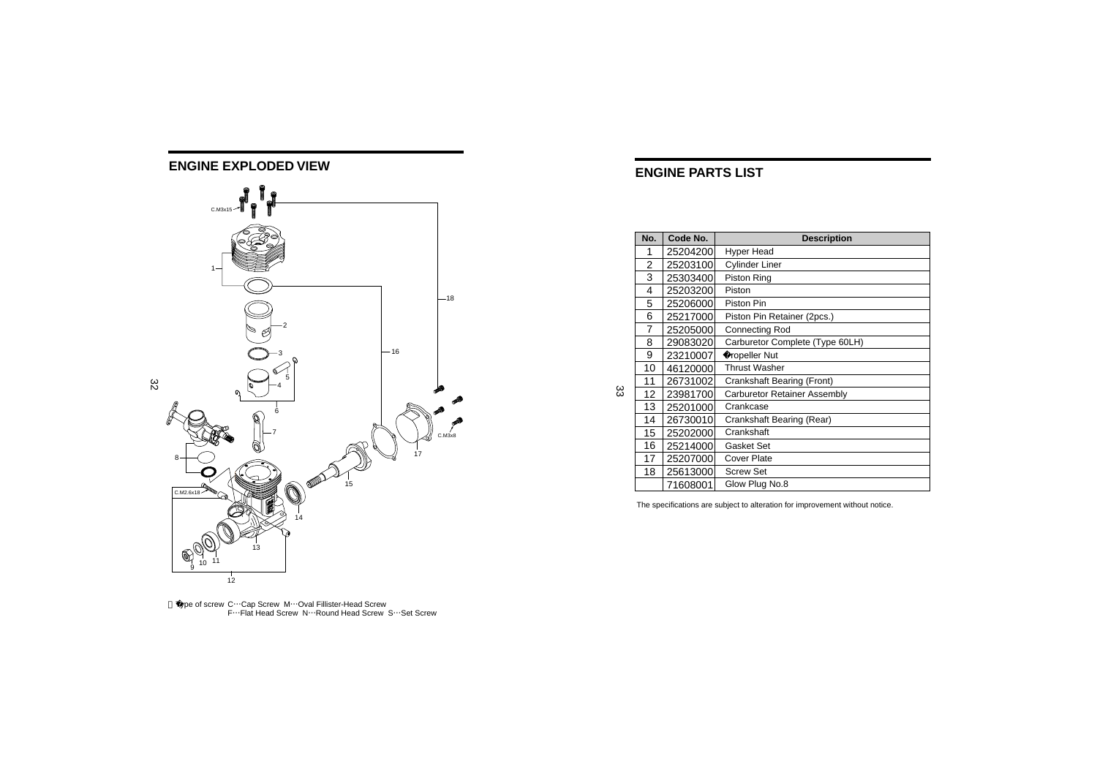

Type of screw C…Cap Screw M…Oval Fillister-Head Screw F…Flat Head Screw N…Round Head Screw S…Set Screw

#### **ENGINE PARTS LIST**

|     | No.            | Code No. | <b>Description</b>              |
|-----|----------------|----------|---------------------------------|
|     | 1              | 25204200 | Hyper Head                      |
|     | 2              | 25203100 | <b>Cylinder Liner</b>           |
|     | 3              | 25303400 | Piston Ring                     |
|     | 4              | 25203200 | Piston                          |
|     | 5              | 25206000 | Piston Pin                      |
|     | 6              | 25217000 | Piston Pin Retainer (2pcs.)     |
|     | $\overline{7}$ | 25205000 | <b>Connecting Rod</b>           |
|     | 8              | 29083020 | Carburetor Complete (Type 60LH) |
|     | 9              | 23210007 | Propeller Nut                   |
|     | 10             | 46120000 | <b>Thrust Washer</b>            |
|     | 11             | 26731002 | Crankshaft Bearing (Front)      |
| ယ္လ | 12             | 23981700 | Carburetor Retainer Assembly    |
|     | 13             | 25201000 | Crankcase                       |
|     | 14             | 26730010 | Crankshaft Bearing (Rear)       |
|     | 15             | 25202000 | Crankshaft                      |
|     | 16             | 25214000 | Gasket Set                      |
|     | 17             | 25207000 | <b>Cover Plate</b>              |
|     | 18             | 25613000 | <b>Screw Set</b>                |
|     |                | 71608001 | Glow Plug No.8                  |

The specifications are subject to alteration for improvement without notice.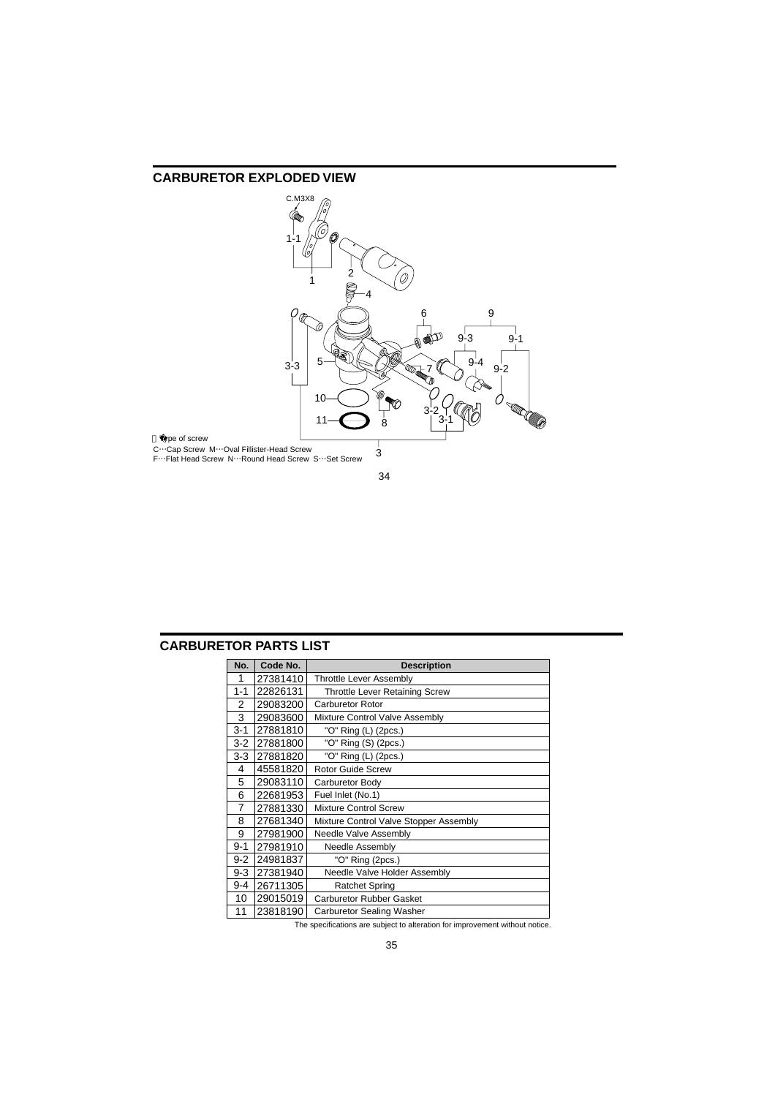

# **CARBURETOR PARTS LIST**

| No.     | Code No. | <b>Description</b>                     |
|---------|----------|----------------------------------------|
| 1       | 27381410 | <b>Throttle Lever Assembly</b>         |
| $1 - 1$ | 22826131 | <b>Throttle Lever Retaining Screw</b>  |
| 2       | 29083200 | <b>Carburetor Rotor</b>                |
| 3       | 29083600 | Mixture Control Valve Assembly         |
| $3 - 1$ | 27881810 | "O" Ring (L) (2pcs.)                   |
| $3 - 2$ | 27881800 | "O" Ring (S) (2pcs.)                   |
| $3-3$   | 27881820 | "O" Ring (L) (2pcs.)                   |
| 4       | 45581820 | <b>Rotor Guide Screw</b>               |
| 5       | 29083110 | Carburetor Body                        |
| 6       | 22681953 | Fuel Inlet (No.1)                      |
| 7       | 27881330 | <b>Mixture Control Screw</b>           |
| 8       | 27681340 | Mixture Control Valve Stopper Assembly |
| 9       | 27981900 | Needle Valve Assembly                  |
| $9 - 1$ | 27981910 | Needle Assembly                        |
| $9 - 2$ | 24981837 | "O" Ring (2pcs.)                       |
| $9 - 3$ | 27381940 | Needle Valve Holder Assembly           |
| $9 - 4$ | 26711305 | <b>Ratchet Spring</b>                  |
| 10      | 29015019 | <b>Carburetor Rubber Gasket</b>        |
| 11      | 23818190 | <b>Carburetor Sealing Washer</b>       |

The specifications are subject to alteration for improvement without notice.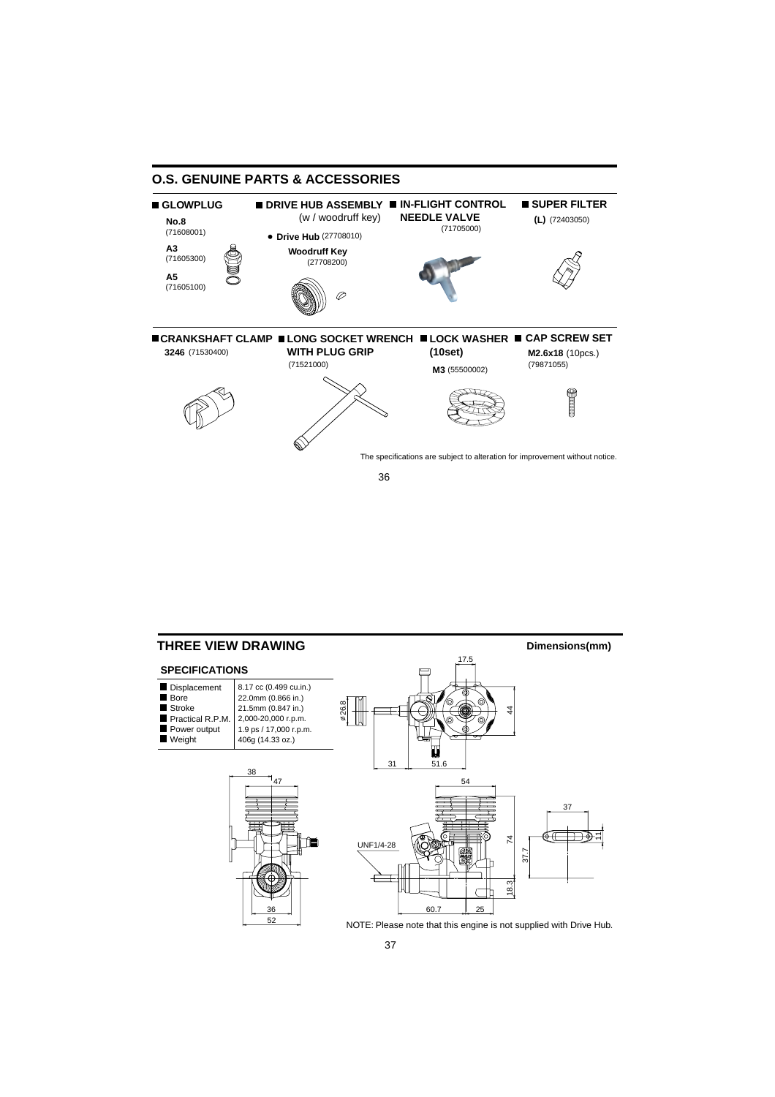